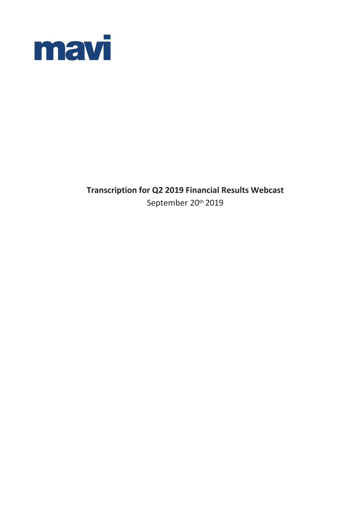

**Transcription for Q2 2019 Financial Results Webcast**  September 20th 2019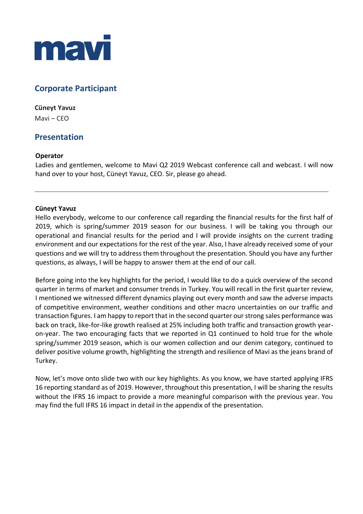

# **Corporate Participant**

# **Cüneyt Yavuz**

Mavi – CEO

# **Presentation**

## **Operator**

Ladies and gentlemen, welcome to Mavi Q2 2019 Webcast conference call and webcast. I will now hand over to your host, Cüneyt Yavuz, CEO. Sir, please go ahead.

## **Cüneyt Yavuz**

Hello everybody, welcome to our conference call regarding the financial results for the first half of 2019, which is spring/summer 2019 season for our business. I will be taking you through our operational and financial results for the period and I will provide insights on the current trading environment and our expectations for the rest of the year. Also, I have already received some of your questions and we will try to address them throughout the presentation. Should you have any further questions, as always, I will be happy to answer them at the end of our call.

Before going into the key highlights for the period, I would like to do a quick overview of the second quarter in terms of market and consumer trends in Turkey. You will recall in the first quarter review, I mentioned we witnessed different dynamics playing out every month and saw the adverse impacts of competitive environment, weather conditions and other macro uncertainties on our traffic and transaction figures. I am happy to report that in the second quarter our strong sales performance was back on track, like-for-like growth realised at 25% including both traffic and transaction growth yearon-year. The two encouraging facts that we reported in Q1 continued to hold true for the whole spring/summer 2019 season, which is our women collection and our denim category, continued to deliver positive volume growth, highlighting the strength and resilience of Mavi as the jeans brand of Turkey.

Now, let's move onto slide two with our key highlights. As you know, we have started applying IFRS 16 reporting standard as of 2019. However, throughout this presentation, I will be sharing the results without the IFRS 16 impact to provide a more meaningful comparison with the previous year. You may find the full IFRS 16 impact in detail in the appendix of the presentation.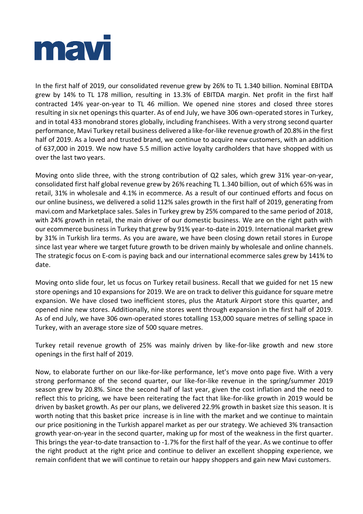

In the first half of 2019, our consolidated revenue grew by 26% to TL 1.340 billion. Nominal EBITDA grew by 14% to TL 178 million, resulting in 13.3% of EBITDA margin. Net profit in the first half contracted 14% year-on-year to TL 46 million. We opened nine stores and closed three stores resulting in six net openings this quarter. As of end July, we have 306 own-operated stores in Turkey, and in total 433 monobrand stores globally, including franchisees. With a very strong second quarter performance, Mavi Turkey retail business delivered a like-for-like revenue growth of 20.8% in the first half of 2019. As a loved and trusted brand, we continue to acquire new customers, with an addition of 637,000 in 2019. We now have 5.5 million active loyalty cardholders that have shopped with us over the last two years.

Moving onto slide three, with the strong contribution of Q2 sales, which grew 31% year-on-year, consolidated first half global revenue grew by 26% reaching TL 1.340 billion, out of which 65% was in retail, 31% in wholesale and 4.1% in ecommerce. As a result of our continued efforts and focus on our online business, we delivered a solid 112% sales growth in the first half of 2019, generating from mavi.com and Marketplace sales. Sales in Turkey grew by 25% compared to the same period of 2018, with 24% growth in retail, the main driver of our domestic business. We are on the right path with our ecommerce business in Turkey that grew by 91% year-to-date in 2019. International market grew by 31% in Turkish lira terms. As you are aware, we have been closing down retail stores in Europe since last year where we target future growth to be driven mainly by wholesale and online channels. The strategic focus on E-com is paying back and our international ecommerce sales grew by 141% to date.

Moving onto slide four, let us focus on Turkey retail business. Recall that we guided for net 15 new store openings and 10 expansions for 2019. We are on track to deliver this guidance for square metre expansion. We have closed two inefficient stores, plus the Ataturk Airport store this quarter, and opened nine new stores. Additionally, nine stores went through expansion in the first half of 2019. As of end July, we have 306 own-operated stores totalling 153,000 square metres of selling space in Turkey, with an average store size of 500 square metres.

Turkey retail revenue growth of 25% was mainly driven by like-for-like growth and new store openings in the first half of 2019.

Now, to elaborate further on our like-for-like performance, let's move onto page five. With a very strong performance of the second quarter, our like-for-like revenue in the spring/summer 2019 season grew by 20.8%. Since the second half of last year, given the cost inflation and the need to reflect this to pricing, we have been reiterating the fact that like-for-like growth in 2019 would be driven by basket growth. As per our plans, we delivered 22.9% growth in basket size this season. It is worth noting that this basket price increase is in line with the market and we continue to maintain our price positioning in the Turkish apparel market as per our strategy. We achieved 3% transaction growth year-on-year in the second quarter, making up for most of the weakness in the first quarter. This brings the year-to-date transaction to -1.7% for the first half of the year. As we continue to offer the right product at the right price and continue to deliver an excellent shopping experience, we remain confident that we will continue to retain our happy shoppers and gain new Mavi customers.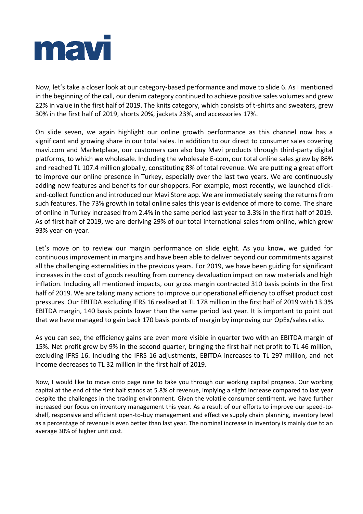

Now, let's take a closer look at our category-based performance and move to slide 6. As I mentioned in the beginning of the call, our denim category continued to achieve positive sales volumes and grew 22% in value in the first half of 2019. The knits category, which consists of t-shirts and sweaters, grew 30% in the first half of 2019, shorts 20%, jackets 23%, and accessories 17%.

On slide seven, we again highlight our online growth performance as this channel now has a significant and growing share in our total sales. In addition to our direct to consumer sales covering mavi.com and Marketplace, our customers can also buy Mavi products through third-party digital platforms, to which we wholesale. Including the wholesale E-com, our total online sales grew by 86% and reached TL 107.4 million globally, constituting 8% of total revenue. We are putting a great effort to improve our online presence in Turkey, especially over the last two years. We are continuously adding new features and benefits for our shoppers. For example, most recently, we launched clickand-collect function and introduced our Mavi Store app. We are immediately seeing the returns from such features. The 73% growth in total online sales this year is evidence of more to come. The share of online in Turkey increased from 2.4% in the same period last year to 3.3% in the first half of 2019. As of first half of 2019, we are deriving 29% of our total international sales from online, which grew 93% year-on-year.

Let's move on to review our margin performance on slide eight. As you know, we guided for continuous improvement in margins and have been able to deliver beyond our commitments against all the challenging externalities in the previous years. For 2019, we have been guiding for significant increases in the cost of goods resulting from currency devaluation impact on raw materials and high inflation. Including all mentioned impacts, our gross margin contracted 310 basis points in the first half of 2019. We are taking many actions to improve our operational efficiency to offset product cost pressures. Our EBITDA excluding IFRS 16 realised at TL 178 million in the first half of 2019 with 13.3% EBITDA margin, 140 basis points lower than the same period last year. It is important to point out that we have managed to gain back 170 basis points of margin by improving our OpEx/sales ratio.

As you can see, the efficiency gains are even more visible in quarter two with an EBITDA margin of 15%. Net profit grew by 9% in the second quarter, bringing the first half net profit to TL 46 million, excluding IFRS 16. Including the IFRS 16 adjustments, EBITDA increases to TL 297 million, and net income decreases to TL 32 million in the first half of 2019.

Now, I would like to move onto page nine to take you through our working capital progress. Our working capital at the end of the first half stands at 5.8% of revenue, implying a slight increase compared to last year despite the challenges in the trading environment. Given the volatile consumer sentiment, we have further increased our focus on inventory management this year. As a result of our efforts to improve our speed-toshelf, responsive and efficient open-to-buy management and effective supply chain planning, inventory level as a percentage of revenue is even better than last year. The nominal increase in inventory is mainly due to an average 30% of higher unit cost.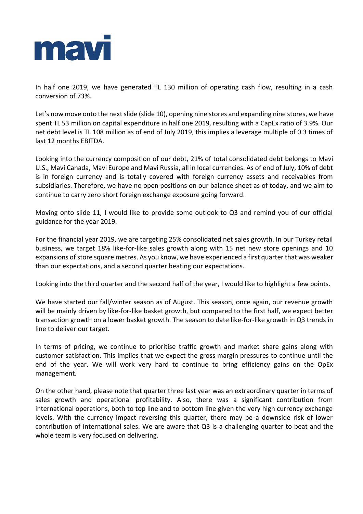

In half one 2019, we have generated TL 130 million of operating cash flow, resulting in a cash conversion of 73%.

Let's now move onto the next slide (slide 10), opening nine stores and expanding nine stores, we have spent TL 53 million on capital expenditure in half one 2019, resulting with a CapEx ratio of 3.9%. Our net debt level is TL 108 million as of end of July 2019, this implies a leverage multiple of 0.3 times of last 12 months EBITDA.

Looking into the currency composition of our debt, 21% of total consolidated debt belongs to Mavi U.S., Mavi Canada, Mavi Europe and Mavi Russia, all in local currencies. As of end of July, 10% of debt is in foreign currency and is totally covered with foreign currency assets and receivables from subsidiaries. Therefore, we have no open positions on our balance sheet as of today, and we aim to continue to carry zero short foreign exchange exposure going forward.

Moving onto slide 11, I would like to provide some outlook to Q3 and remind you of our official guidance for the year 2019.

For the financial year 2019, we are targeting 25% consolidated net sales growth. In our Turkey retail business, we target 18% like-for-like sales growth along with 15 net new store openings and 10 expansions of store square metres. As you know, we have experienced a first quarter that was weaker than our expectations, and a second quarter beating our expectations.

Looking into the third quarter and the second half of the year, I would like to highlight a few points.

We have started our fall/winter season as of August. This season, once again, our revenue growth will be mainly driven by like-for-like basket growth, but compared to the first half, we expect better transaction growth on a lower basket growth. The season to date like-for-like growth in Q3 trends in line to deliver our target.

In terms of pricing, we continue to prioritise traffic growth and market share gains along with customer satisfaction. This implies that we expect the gross margin pressures to continue until the end of the year. We will work very hard to continue to bring efficiency gains on the OpEx management.

On the other hand, please note that quarter three last year was an extraordinary quarter in terms of sales growth and operational profitability. Also, there was a significant contribution from international operations, both to top line and to bottom line given the very high currency exchange levels. With the currency impact reversing this quarter, there may be a downside risk of lower contribution of international sales. We are aware that Q3 is a challenging quarter to beat and the whole team is very focused on delivering.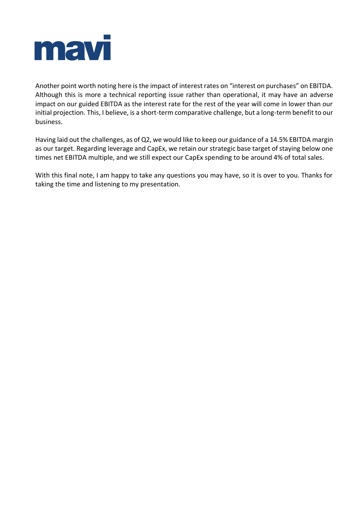

Another point worth noting here is the impact of interest rates on "interest on purchases" on EBITDA. Although this is more a technical reporting issue rather than operational, it may have an adverse impact on our guided EBITDA as the interest rate for the rest of the year will come in lower than our initial projection. This, I believe, is a short-term comparative challenge, but a long-term benefit to our business.

Having laid out the challenges, as of Q2, we would like to keep our guidance of a 14.5% EBITDA margin as our target. Regarding leverage and CapEx, we retain our strategic base target of staying below one times net EBITDA multiple, and we still expect our CapEx spending to be around 4% of total sales.

With this final note, I am happy to take any questions you may have, so it is over to you. Thanks for taking the time and listening to my presentation.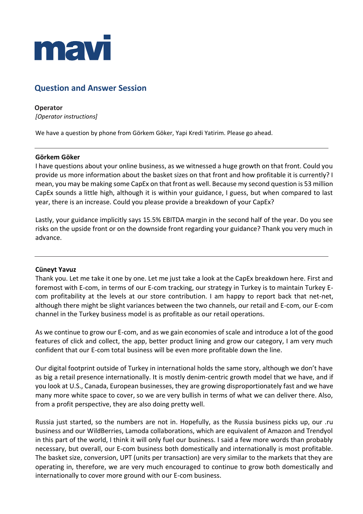

# **Question and Answer Session**

**Operator** *[Operator instructions]*

We have a question by phone from Görkem Göker, Yapi Kredi Yatirim. Please go ahead.

## **Görkem Göker**

I have questions about your online business, as we witnessed a huge growth on that front. Could you provide us more information about the basket sizes on that front and how profitable it is currently? I mean, you may be making some CapEx on that front as well. Because my second question is 53 million CapEx sounds a little high, although it is within your guidance, I guess, but when compared to last year, there is an increase. Could you please provide a breakdown of your CapEx?

Lastly, your guidance implicitly says 15.5% EBITDA margin in the second half of the year. Do you see risks on the upside front or on the downside front regarding your guidance? Thank you very much in advance.

#### **Cüneyt Yavuz**

Thank you. Let me take it one by one. Let me just take a look at the CapEx breakdown here. First and foremost with E-com, in terms of our E-com tracking, our strategy in Turkey is to maintain Turkey Ecom profitability at the levels at our store contribution. I am happy to report back that net-net, although there might be slight variances between the two channels, our retail and E-com, our E-com channel in the Turkey business model is as profitable as our retail operations.

As we continue to grow our E-com, and as we gain economies of scale and introduce a lot of the good features of click and collect, the app, better product lining and grow our category, I am very much confident that our E-com total business will be even more profitable down the line.

Our digital footprint outside of Turkey in international holds the same story, although we don't have as big a retail presence internationally. It is mostly denim-centric growth model that we have, and if you look at U.S., Canada, European businesses, they are growing disproportionately fast and we have many more white space to cover, so we are very bullish in terms of what we can deliver there. Also, from a profit perspective, they are also doing pretty well.

Russia just started, so the numbers are not in. Hopefully, as the Russia business picks up, our .ru business and our WildBerries, Lamoda collaborations, which are equivalent of Amazon and Trendyol in this part of the world, I think it will only fuel our business. I said a few more words than probably necessary, but overall, our E-com business both domestically and internationally is most profitable. The basket size, conversion, UPT (units per transaction) are very similar to the markets that they are operating in, therefore, we are very much encouraged to continue to grow both domestically and internationally to cover more ground with our E-com business.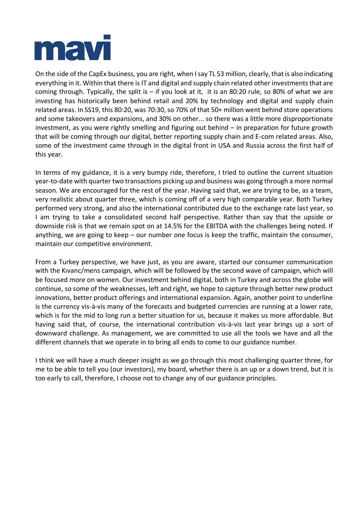

On the side of the CapEx business, you are right, when I say TL 53 million, clearly, that is also indicating everything in it. Within that there is IT and digital and supply chain related other investments that are coming through. Typically, the split is  $-$  if you look at it, it is an 80:20 rule, so 80% of what we are investing has historically been behind retail and 20% by technology and digital and supply chain related areas. In SS19, this 80:20, was 70:30, so 70% of that 50+ million went behind store operations and some takeovers and expansions, and 30% on other... so there was a little more disproportionate investment, as you were rightly smelling and figuring out behind – in preparation for future growth that will be coming through our digital, better reporting supply chain and E-com related areas. Also, some of the investment came through in the digital front in USA and Russia across the first half of this year.

In terms of my guidance, it is a very bumpy ride, therefore, I tried to outline the current situation year-to-date with quarter two transactions picking up and business was going through a more normal season. We are encouraged for the rest of the year. Having said that, we are trying to be, as a team, very realistic about quarter three, which is coming off of a very high comparable year. Both Turkey performed very strong, and also the international contributed due to the exchange rate last year, so I am trying to take a consolidated second half perspective. Rather than say that the upside or downside risk is that we remain spot on at 14.5% for the EBITDA with the challenges being noted. If anything, we are going to keep – our number one focus is keep the traffic, maintain the consumer, maintain our competitive environment.

From a Turkey perspective, we have just, as you are aware, started our consumer communication with the Kıvanc/mens campaign, which will be followed by the second wave of campaign, which will be focused more on women. Our investment behind digital, both in Turkey and across the globe will continue, so some of the weaknesses, left and right, we hope to capture through better new product innovations, better product offerings and international expansion. Again, another point to underline is the currency vis-à-vis many of the forecasts and budgeted currencies are running at a lower rate, which is for the mid to long run a better situation for us, because it makes us more affordable. But having said that, of course, the international contribution vis-à-vis last year brings up a sort of downward challenge. As management, we are committed to use all the tools we have and all the different channels that we operate in to bring all ends to come to our guidance number.

I think we will have a much deeper insight as we go through this most challenging quarter three, for me to be able to tell you (our investors), my board, whether there is an up or a down trend, but it is too early to call, therefore, I choose not to change any of our guidance principles.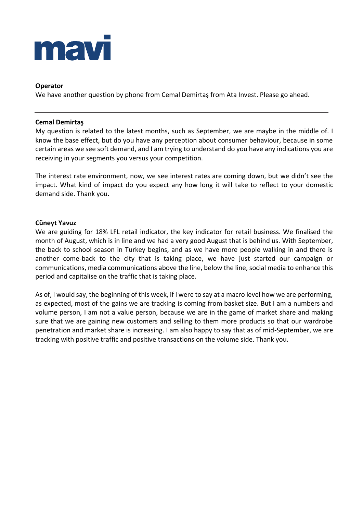

## **Operator**

We have another question by phone from Cemal Demirtaş from Ata Invest. Please go ahead.

#### **Cemal Demirtaş**

My question is related to the latest months, such as September, we are maybe in the middle of. I know the base effect, but do you have any perception about consumer behaviour, because in some certain areas we see soft demand, and I am trying to understand do you have any indications you are receiving in your segments you versus your competition.

The interest rate environment, now, we see interest rates are coming down, but we didn't see the impact. What kind of impact do you expect any how long it will take to reflect to your domestic demand side. Thank you.

## **Cüneyt Yavuz**

We are guiding for 18% LFL retail indicator, the key indicator for retail business. We finalised the month of August, which is in line and we had a very good August that is behind us. With September, the back to school season in Turkey begins, and as we have more people walking in and there is another come-back to the city that is taking place, we have just started our campaign or communications, media communications above the line, below the line, social media to enhance this period and capitalise on the traffic that is taking place.

As of, I would say, the beginning of this week, if I were to say at a macro level how we are performing, as expected, most of the gains we are tracking is coming from basket size. But I am a numbers and volume person, I am not a value person, because we are in the game of market share and making sure that we are gaining new customers and selling to them more products so that our wardrobe penetration and market share is increasing. I am also happy to say that as of mid-September, we are tracking with positive traffic and positive transactions on the volume side. Thank you.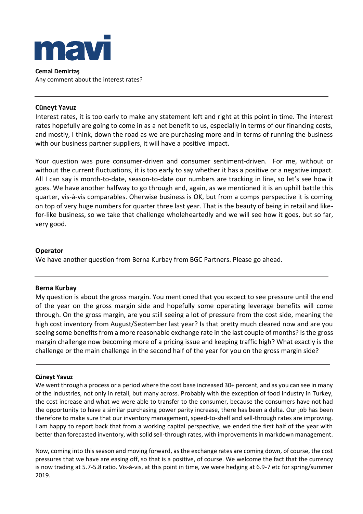

**Cemal Demirtaş** Any comment about the interest rates?

## **Cüneyt Yavuz**

Interest rates, it is too early to make any statement left and right at this point in time. The interest rates hopefully are going to come in as a net benefit to us, especially in terms of our financing costs, and mostly, I think, down the road as we are purchasing more and in terms of running the business with our business partner suppliers, it will have a positive impact.

Your question was pure consumer-driven and consumer sentiment-driven. For me, without or without the current fluctuations, it is too early to say whether it has a positive or a negative impact. All I can say is month-to-date, season-to-date our numbers are tracking in line, so let's see how it goes. We have another halfway to go through and, again, as we mentioned it is an uphill battle this quarter, vis-à-vis comparables. Oherwise business is OK, but from a comps perspective it is coming on top of very huge numbers for quarter three last year. That is the beauty of being in retail and likefor-like business, so we take that challenge wholeheartedly and we will see how it goes, but so far, very good.

## **Operator**

We have another question from Berna Kurbay from BGC Partners. Please go ahead.

#### **Berna Kurbay**

My question is about the gross margin. You mentioned that you expect to see pressure until the end of the year on the gross margin side and hopefully some operating leverage benefits will come through. On the gross margin, are you still seeing a lot of pressure from the cost side, meaning the high cost inventory from August/September last year? Is that pretty much cleared now and are you seeing some benefits from a more reasonable exchange rate in the last couple of months? Is the gross margin challenge now becoming more of a pricing issue and keeping traffic high? What exactly is the challenge or the main challenge in the second half of the year for you on the gross margin side?

#### **Cüneyt Yavuz**

We went through a process or a period where the cost base increased 30+ percent, and as you can see in many of the industries, not only in retail, but many across. Probably with the exception of food industry in Turkey, the cost increase and what we were able to transfer to the consumer, because the consumers have not had the opportunity to have a similar purchasing power parity increase, there has been a delta. Our job has been therefore to make sure that our inventory management, speed-to-shelf and sell-through rates are improving. I am happy to report back that from a working capital perspective, we ended the first half of the year with better than forecasted inventory, with solid sell-through rates, with improvements in markdown management.

Now, coming into this season and moving forward, as the exchange rates are coming down, of course, the cost pressures that we have are easing off, so that is a positive, of course. We welcome the fact that the currency is now trading at 5.7-5.8 ratio. Vis-à-vis, at this point in time, we were hedging at 6.9-7 etc for spring/summer 2019.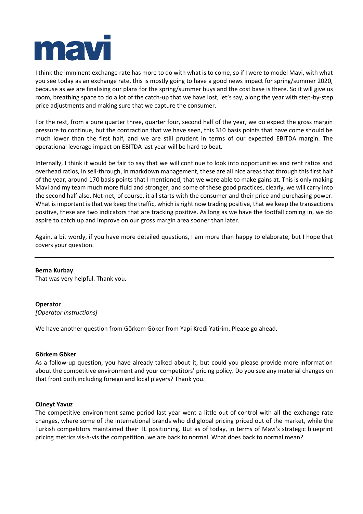

I think the imminent exchange rate has more to do with what is to come, so if I were to model Mavi, with what you see today as an exchange rate, this is mostly going to have a good news impact for spring/summer 2020, because as we are finalising our plans for the spring/summer buys and the cost base is there. So it will give us room, breathing space to do a lot of the catch-up that we have lost, let's say, along the year with step-by-step price adjustments and making sure that we capture the consumer.

For the rest, from a pure quarter three, quarter four, second half of the year, we do expect the gross margin pressure to continue, but the contraction that we have seen, this 310 basis points that have come should be much lower than the first half, and we are still prudent in terms of our expected EBITDA margin. The operational leverage impact on EBITDA last year will be hard to beat.

Internally, I think it would be fair to say that we will continue to look into opportunities and rent ratios and overhead ratios, in sell-through, in markdown management, these are all nice areas that through this first half of the year, around 170 basis points that I mentioned, that we were able to make gains at. This is only making Mavi and my team much more fluid and stronger, and some of these good practices, clearly, we will carry into the second half also. Net-net, of course, it all starts with the consumer and their price and purchasing power. What is important is that we keep the traffic, which is right now trading positive, that we keep the transactions positive, these are two indicators that are tracking positive. As long as we have the footfall coming in, we do aspire to catch up and improve on our gross margin area sooner than later.

Again, a bit wordy, if you have more detailed questions, I am more than happy to elaborate, but I hope that covers your question.

#### **Berna Kurbay**

That was very helpful. Thank you.

#### **Operator**

*[Operator instructions]*

We have another question from Görkem Göker from Yapi Kredi Yatirim. Please go ahead.

#### **Görkem Göker**

As a follow-up question, you have already talked about it, but could you please provide more information about the competitive environment and your competitors' pricing policy. Do you see any material changes on that front both including foreign and local players? Thank you.

#### **Cüneyt Yavuz**

The competitive environment same period last year went a little out of control with all the exchange rate changes, where some of the international brands who did global pricing priced out of the market, while the Turkish competitors maintained their TL positioning. But as of today, in terms of Mavi's strategic blueprint pricing metrics vis-à-vis the competition, we are back to normal. What does back to normal mean?